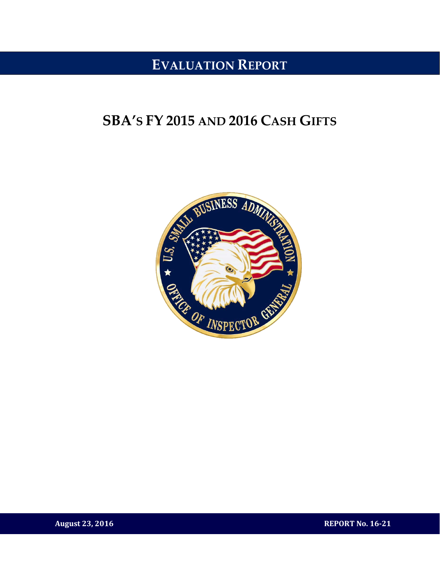## **EVALUATION REPORT**

## **SBA'S FY 2015 AND 2016 CASH GIFTS**



**August 23, 2016 REPORT No. 16-21**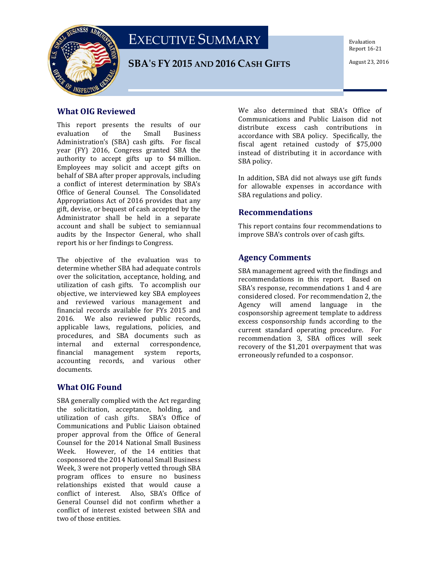



#### **SBA'S FY 2015 AND 2016 CASH GIFTS**

Evaluation Report 16-21

#### **What OIG Reviewed**

This report presents the results of our evaluation of the Small Business evaluation of the Small Business Administration's (SBA) cash gifts. For fiscal year (FY) 2016, Congress granted SBA the authority to accept gifts up to \$4 million. Employees may solicit and accept gifts on behalf of SBA after proper approvals, including a conflict of interest determination by SBA's Office of General Counsel. The Consolidated Appropriations Act of 2016 provides that any gift, devise, or bequest of cash accepted by the Administrator shall be held in a separate account and shall be subject to semiannual audits by the Inspector General, who shall report his or her findings to Congress.

The objective of the evaluation was to determine whether SBA had adequate controls over the solicitation, acceptance, holding, and utilization of cash gifts. To accomplish our objective, we interviewed key SBA employees and reviewed various management and financial records available for FYs 2015 and 2016. We also reviewed public records, applicable laws, regulations, policies, and procedures, and SBA documents such as<br>internal and external correspondence, internal and external correspondence,<br>financial management system reports, management system reports, accounting records, and various other documents.

#### **What OIG Found**

SBA generally complied with the Act regarding the solicitation, acceptance, holding, and<br>utilization of cash gifts. SBA's Office of utilization of cash gifts. Communications and Public Liaison obtained proper approval from the Office of General Counsel for the 2014 National Small Business However, of the 14 entities that cosponsored the 2014 National Small Business Week, 3 were not properly vetted through SBA program offices to ensure no business relationships existed that would cause a conflict of interest. Also, SBA's Office of General Counsel did not confirm whether a conflict of interest existed between SBA and two of those entities.

We also determined that SBA's Office of Communications and Public Liaison did not distribute excess cash contributions in accordance with SBA policy. Specifically, the fiscal agent retained custody of \$75,000 instead of distributing it in accordance with SBA policy.

In addition, SBA did not always use gift funds for allowable expenses in accordance with SBA regulations and policy.

#### **Recommendations**

This report contains four recommendations to improve SBA's controls over of cash gifts.

#### **Agency Comments**

SBA management agreed with the findings and recommendations in this report. Based on SBA's response, recommendations 1 and 4 are considered closed. For recommendation 2, the Agency will amend language in the cosponsorship agreement template to address excess cosponsorship funds according to the current standard operating procedure. For recommendation 3, SBA offices will seek recovery of the \$1,201 overpayment that was erroneously refunded to a cosponsor.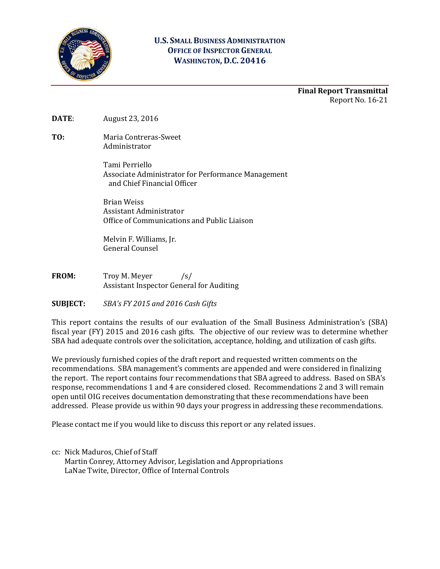

#### **U.S. SMALL BUSINESS ADMINISTRATION OFFICE OF INSPECTOR GENERAL WASHINGTON, D.C. 20416**

**Final Report Transmittal** Report No. 16-21

**DATE**: August 23, 2016

**TO:** Maria Contreras-Sweet Administrator

> Tami Perriello Associate Administrator for Performance Management and Chief Financial Officer

Brian Weiss Assistant Administrator Office of Communications and Public Liaison

Melvin F. Williams, Jr. General Counsel

**FROM:** Troy M. Meyer /s/ Assistant Inspector General for Auditing

**SUBJECT:** *SBA's FY 2015 and 2016 Cash Gifts*

This report contains the results of our evaluation of the Small Business Administration's (SBA) fiscal year (FY) 2015 and 2016 cash gifts*.* The objective of our review was to determine whether SBA had adequate controls over the solicitation, acceptance, holding, and utilization of cash gifts.

We previously furnished copies of the draft report and requested written comments on the recommendations. SBA management's comments are appended and were considered in finalizing the report. The report contains four recommendations that SBA agreed to address. Based on SBA's response, recommendations 1 and 4 are considered closed. Recommendations 2 and 3 will remain open until OIG receives documentation demonstrating that these recommendations have been addressed. Please provide us within 90 days your progress in addressing these recommendations.

Please contact me if you would like to discuss this report or any related issues.

cc: Nick Maduros, Chief of Staff Martin Conrey, Attorney Advisor, Legislation and Appropriations LaNae Twite, Director, Office of Internal Controls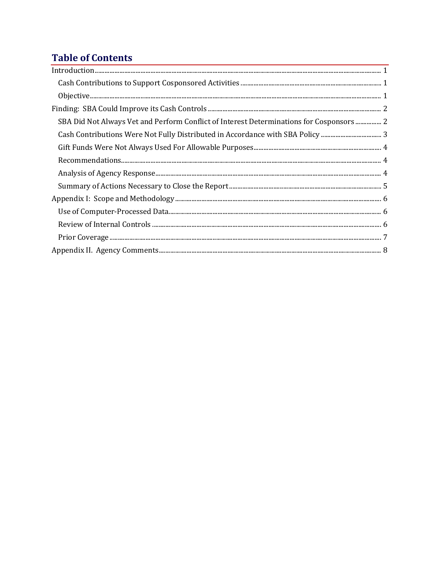### **Table of Contents**

| $In traditional, \textit{\textbf{m}}\xspace, \textit{\textbf{m}}\xspace, \textit{\textbf{m}}\xspace, \textit{\textbf{m}}\xspace, \textit{\textbf{m}}\xspace, \textit{\textbf{m}}\xspace, \textit{\textbf{m}}\xspace, \textit{\textbf{m}}\xspace, \textit{\textbf{m}}\xspace, \textit{\textbf{m}}\xspace, \textit{\textbf{m}}\xspace, \textit{\textbf{m}}\xspace, \textit{\textbf{m}}\xspace, \textit{\textbf{m}}\xspace, \textit{\textbf{m}}\xspace, \textit{\textbf{m}}\xspace, \textit{\textbf{m}}$ |  |
|-------------------------------------------------------------------------------------------------------------------------------------------------------------------------------------------------------------------------------------------------------------------------------------------------------------------------------------------------------------------------------------------------------------------------------------------------------------------------------------------------------|--|
|                                                                                                                                                                                                                                                                                                                                                                                                                                                                                                       |  |
|                                                                                                                                                                                                                                                                                                                                                                                                                                                                                                       |  |
|                                                                                                                                                                                                                                                                                                                                                                                                                                                                                                       |  |
| SBA Did Not Always Vet and Perform Conflict of Interest Determinations for Cosponsors 2                                                                                                                                                                                                                                                                                                                                                                                                               |  |
|                                                                                                                                                                                                                                                                                                                                                                                                                                                                                                       |  |
|                                                                                                                                                                                                                                                                                                                                                                                                                                                                                                       |  |
|                                                                                                                                                                                                                                                                                                                                                                                                                                                                                                       |  |
|                                                                                                                                                                                                                                                                                                                                                                                                                                                                                                       |  |
|                                                                                                                                                                                                                                                                                                                                                                                                                                                                                                       |  |
|                                                                                                                                                                                                                                                                                                                                                                                                                                                                                                       |  |
|                                                                                                                                                                                                                                                                                                                                                                                                                                                                                                       |  |
|                                                                                                                                                                                                                                                                                                                                                                                                                                                                                                       |  |
|                                                                                                                                                                                                                                                                                                                                                                                                                                                                                                       |  |
|                                                                                                                                                                                                                                                                                                                                                                                                                                                                                                       |  |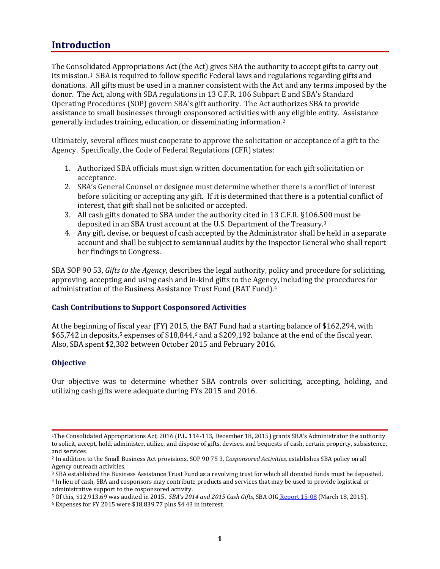### <span id="page-4-0"></span>**Introduction**

The Consolidated Appropriations Act (the Act) gives SBA the authority to accept gifts to carry out its mission.<sup>1</sup> SBA is required to follow specific Federal laws and regulations regarding gifts and donations. All gifts must be used in a manner consistent with the Act and any terms imposed by the donor. The Act, along with SBA regulations in 13 C.F.R. 106 Subpart E and SBA's Standard Operating Procedures (SOP) govern SBA's gift authority. The Act authorizes SBA to provide assistance to small businesses through cosponsored activities with any eligible entity. Assistance generally includes training, education, or disseminating information.[2](#page-4-4)

Ultimately, several offices must cooperate to approve the solicitation or acceptance of a gift to the Agency. Specifically, the Code of Federal Regulations (CFR) states:

- 1. Authorized SBA officials must sign written documentation for each gift solicitation or acceptance.
- 2. SBA's General Counsel or designee must determine whether there is a conflict of interest before soliciting or accepting any gift. If it is determined that there is a potential conflict of interest, that gift shall not be solicited or accepted.
- 3. All cash gifts donated to SBA under the authority cited in 13 C.F.R. §106.500 must be deposited in an SBA trust account at the U.S. Department of the Treasury.[3](#page-4-5)
- 4. Any gift, devise, or bequest of cash accepted by the Administrator shall be held in a separate account and shall be subject to semiannual audits by the Inspector General who shall report her findings to Congress.

SBA SOP 90 53, *Gifts to the Agency*, describes the legal authority, policy and procedure for soliciting, approving, accepting and using cash and in-kind gifts to the Agency, including the procedures for administration of the Business Assistance Trust Fund (BAT Fund).[4](#page-4-6) 

#### <span id="page-4-1"></span>**Cash Contributions to Support Cosponsored Activities**

At the beginning of f[is](#page-4-7)cal year (FY) 2015, the BAT Fund had a starting balance of \$162,294, with  $$65,742$  $$65,742$  $$65,742$  in deposits,<sup>5</sup> expenses of  $$18,844,6$  and a  $$209,192$  balance at the end of the fiscal year. Also, SBA spent \$2,382 between October 2015 and February 2016.

#### <span id="page-4-2"></span>**Objective**

Our objective was to determine whether SBA controls over soliciting, accepting, holding, and utilizing cash gifts were adequate during FYs 2015 and 2016.

<span id="page-4-5"></span><sup>3</sup> SBA established the Business Assistance Trust Fund as a revolving trust for which all donated funds must be deposited.

<span id="page-4-3"></span><sup>1</sup>The Consolidated Appropriations Act, 2016 (P.L. 114-113, December 18, 2015) grants SBA's Administrator the authority to solicit, accept, hold, administer, utilize, and dispose of gifts, devises, and bequests of cash, certain property, subsistence,

<span id="page-4-4"></span><sup>&</sup>lt;sup>2</sup> In addition to the Small Business Act provisions, SOP 90 75 3, Cosponsored Activities, establishes SBA policy on all Agency outreach activities.

<span id="page-4-6"></span><sup>4</sup> In lieu of cash, SBA and cosponsors may contribute products and services that may be used to provide logistical or

<span id="page-4-8"></span><span id="page-4-7"></span><sup>&</sup>lt;sup>5</sup> Of this, \$12,913.69 was audited in 2015. *SBA's 2014 and 2015 Cash Gifts*, SBA OIG [Report 15-08 \(](https://www.sba.gov/oig/evaluation-report-15-08-sbas-2014-and-2015-cash-gifts)March 18, 2015). <br><sup>6</sup> Expenses for FY 2015 were \$18,839.77 plus \$4.43 in interest.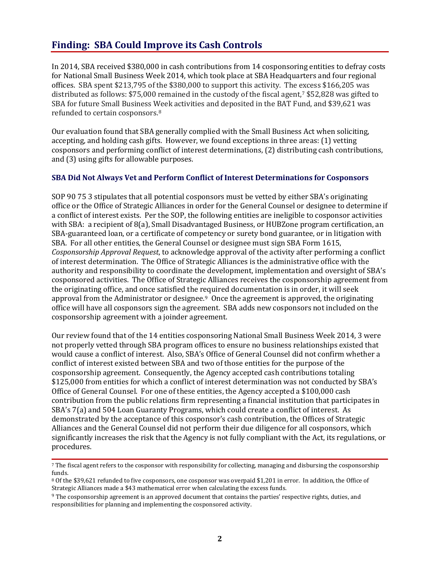### <span id="page-5-0"></span>**Finding: SBA Could Improve its Cash Controls**

In 2014, SBA received \$380,000 in cash contributions from 14 cosponsoring entities to defray costs for National Small Business Week 2014, which took place at SBA Headquarters and four regional offices. SBA spent \$213,795 of the \$380,000 to support this activity. The excess \$166,205 was distributed as follows: \$75,000 remained in the custody of the fiscal agent[,7](#page-5-2) \$52,828 was gifted to SBA for future Small Business Week activities and deposited in the BAT Fund, and \$39,621 was refunded to certain cosponsors.[8](#page-5-3) 

Our evaluation found that SBA generally complied with the Small Business Act when soliciting, accepting, and holding cash gifts. However, we found exceptions in three areas: (1) vetting cosponsors and performing conflict of interest determinations, (2) distributing cash contributions, and (3) using gifts for allowable purposes.

#### <span id="page-5-1"></span>**SBA Did Not Always Vet and Perform Conflict of Interest Determinations for Cosponsors**

SOP 90 75 3 stipulates that all potential cosponsors must be vetted by either SBA's originating office or the Office of Strategic Alliances in order for the General Counsel or designee to determine if a conflict of interest exists. Per the SOP, the following entities are ineligible to cosponsor activities with SBA: a recipient of 8(a), Small Disadvantaged Business, or HUBZone program certification, an SBA-guaranteed loan, or a certificate of competency or surety bond guarantee, or in litigation with SBA. For all other entities, the General Counsel or designee must sign SBA Form 1615, *Cosponsorship Approval Request*, to acknowledge approval of the activity after performing a conflict of interest determination. The Office of Strategic Alliances is the administrative office with the authority and responsibility to coordinate the development, implementation and oversight of SBA's cosponsored activities. The Office of Strategic Alliances receives the cosponsorship agreement from the originating office, and once satisfied the required documentation is in order, it will seek approval from the Administrator or designee.[9](#page-5-4) Once the agreement is approved, the originating office will have all cosponsors sign the agreement. SBA adds new cosponsors not included on the cosponsorship agreement with a joinder agreement.

Our review found that of the 14 entities cosponsoring National Small Business Week 2014, 3 were not properly vetted through SBA program offices to ensure no business relationships existed that would cause a conflict of interest. Also, SBA's Office of General Counsel did not confirm whether a conflict of interest existed between SBA and two of those entities for the purpose of the cosponsorship agreement. Consequently, the Agency accepted cash contributions totaling \$125,000 from entities for which a conflict of interest determination was not conducted by SBA's Office of General Counsel. For one of these entities, the Agency accepted a \$100,000 cash contribution from the public relations firm representing a financial institution that participates in SBA's 7(a) and 504 Loan Guaranty Programs, which could create a conflict of interest. As demonstrated by the acceptance of this cosponsor's cash contribution, the Offices of Strategic Alliances and the General Counsel did not perform their due diligence for all cosponsors, which significantly increases the risk that the Agency is not fully compliant with the Act, its regulations, or procedures.

<span id="page-5-2"></span><sup>7</sup> The fiscal agent refers to the cosponsor with responsibility for collecting, managing and disbursing the cosponsorship funds.

<span id="page-5-3"></span><sup>8</sup> Of the \$39,621 refunded to five cosponsors, one cosponsor was overpaid \$1,201 in error. In addition, the Office of Strategic Alliances made a \$43 mathematical error when calculating the excess funds.

<span id="page-5-4"></span><sup>9</sup> The cosponsorship agreement is an approved document that contains the parties' respective rights, duties, and responsibilities for planning and implementing the cosponsored activity.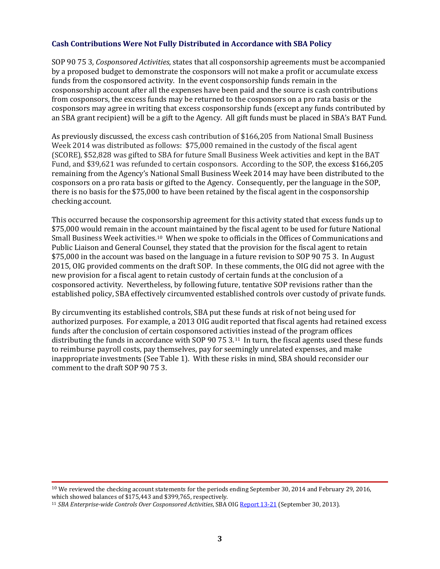#### <span id="page-6-0"></span>**Cash Contributions Were Not Fully Distributed in Accordance with SBA Policy**

SOP 90 75 3, *Cosponsored Activities*, states that all cosponsorship agreements must be accompanied by a proposed budget to demonstrate the cosponsors will not make a profit or accumulate excess funds from the cosponsored activity. In the event cosponsorship funds remain in the cosponsorship account after all the expenses have been paid and the source is cash contributions from cosponsors, the excess funds may be returned to the cosponsors on a pro rata basis or the cosponsors may agree in writing that excess cosponsorship funds (except any funds contributed by an SBA grant recipient) will be a gift to the Agency. All gift funds must be placed in SBA's BAT Fund.

As previously discussed, the excess cash contribution of \$166,205 from National Small Business Week 2014 was distributed as follows: \$75,000 remained in the custody of the fiscal agent (SCORE), \$52,828 was gifted to SBA for future Small Business Week activities and kept in the BAT Fund, and \$39,621 was refunded to certain cosponsors. According to the SOP, the excess \$166,205 remaining from the Agency's National Small Business Week 2014 may have been distributed to the cosponsors on a pro rata basis or gifted to the Agency. Consequently, per the language in the SOP, there is no basis for the \$75,000 to have been retained by the fiscal agent in the cosponsorship checking account.

This occurred because the cosponsorship agreement for this activity stated that excess funds up to \$75,000 would remain in the account maintained by the fiscal agent to be used for future National Small Business Week activities.[10](#page-6-1) When we spoke to officials in the Offices of Communications and Public Liaison and General Counsel, they stated that the provision for the fiscal agent to retain \$75,000 in the account was based on the language in a future revision to SOP 90 75 3. In August 2015, OIG provided comments on the draft SOP. In these comments, the OIG did not agree with the new provision for a fiscal agent to retain custody of certain funds at the conclusion of a cosponsored activity. Nevertheless, by following future, tentative SOP revisions rather than the established policy, SBA effectively circumvented established controls over custody of private funds.

By circumventing its established controls, SBA put these funds at risk of not being used for authorized purposes. For example, a 2013 OIG audit reported that fiscal agents had retained excess funds after the conclusion of certain cosponsored activities instead of the program offices distributing the funds in accordance with SOP 90 75 3.<sup>11</sup> In turn, the fiscal agents used these funds to reimburse payroll costs, pay themselves, pay for seemingly unrelated expenses, and make inappropriate investments (See Table 1). With these risks in mind, SBA should reconsider our comment to the draft SOP 90 75 3.

<span id="page-6-1"></span><sup>10</sup> We reviewed the checking account statements for the periods ending September 30, 2014 and February 29, 2016, which showed balances of \$175,443 and \$399,765, respectively.

<span id="page-6-2"></span><sup>11</sup> *SBA Enterprise-wide Controls Over Cosponsored Activities*, SBA OI[G Report 13-21](https://www.sba.gov/content/audit-report-13-21-sba-enterprise-wide-controls-over-cosponsored-activities) (September 30, 2013).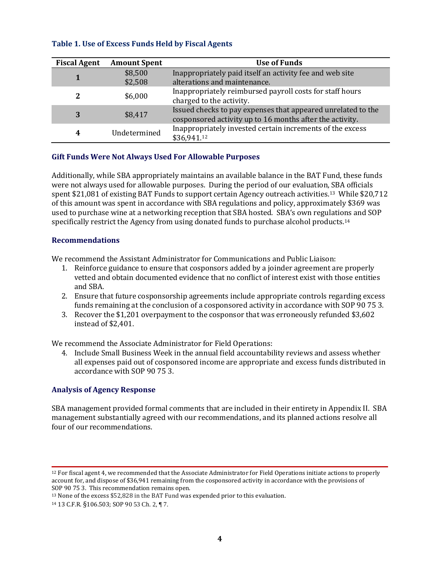| <b>Fiscal Agent</b> | <b>Amount Spent</b> | <b>Use of Funds</b>                                                                                                      |
|---------------------|---------------------|--------------------------------------------------------------------------------------------------------------------------|
|                     | \$8,500             | Inappropriately paid itself an activity fee and web site                                                                 |
|                     | \$2,508             | alterations and maintenance.                                                                                             |
| 2                   | \$6,000             | Inappropriately reimbursed payroll costs for staff hours<br>charged to the activity.                                     |
| 3                   | \$8,417             | Issued checks to pay expenses that appeared unrelated to the<br>cosponsored activity up to 16 months after the activity. |
| 4                   | Undetermined        | Inappropriately invested certain increments of the excess<br>\$36,941.12                                                 |

#### **Table 1. Use of Excess Funds Held by Fiscal Agents**

#### <span id="page-7-0"></span>**Gift Funds Were Not Always Used For Allowable Purposes**

Additionally, while SBA appropriately maintains an available balance in the BAT Fund, these funds were not always used for allowable purposes. During the period of our evaluation, SBA officials spent \$21,081 of existing BAT Funds to support certain Agency outreach activities.<sup>13</sup> While \$20,712 of this amount was spent in accordance with SBA regulations and policy, approximately \$369 was used to purchase wine at a networking reception that SBA hosted. SBA's own regulations and SOP specifically restrict the Agency from using donated funds to purchase alcohol products.[14](#page-7-5)

#### <span id="page-7-1"></span>**Recommendations**

We recommend the Assistant Administrator for Communications and Public Liaison:

- 1. Reinforce guidance to ensure that cosponsors added by a joinder agreement are properly vetted and obtain documented evidence that no conflict of interest exist with those entities and SBA.
- 2. Ensure that future cosponsorship agreements include appropriate controls regarding excess funds remaining at the conclusion of a cosponsored activity in accordance with SOP 90 75 3.
- 3. Recover the \$1,201 overpayment to the cosponsor that was erroneously refunded \$3,602 instead of \$2,401.

We recommend the Associate Administrator for Field Operations:

4. Include Small Business Week in the annual field accountability reviews and assess whether all expenses paid out of cosponsored income are appropriate and excess funds distributed in accordance with SOP 90 75 3.

#### <span id="page-7-2"></span>**Analysis of Agency Response**

SBA management provided formal comments that are included in their entirety in Appendix II. SBA management substantially agreed with our recommendations, and its planned actions resolve all four of our recommendations.

<span id="page-7-3"></span><sup>12</sup> For fiscal agent 4, we recommended that the Associate Administrator for Field Operations initiate actions to properly account for, and dispose of \$36,941 remaining from the cosponsored activity in accordance with the provisions of SOP 90 75 3. This recommendation remains open.

<span id="page-7-4"></span> $13$  None of the excess \$52,828 in the BAT Fund was expended prior to this evaluation.

<span id="page-7-5"></span><sup>14</sup> 13 C.F.R. §106.503; SOP 90 53 Ch. 2, ¶ 7.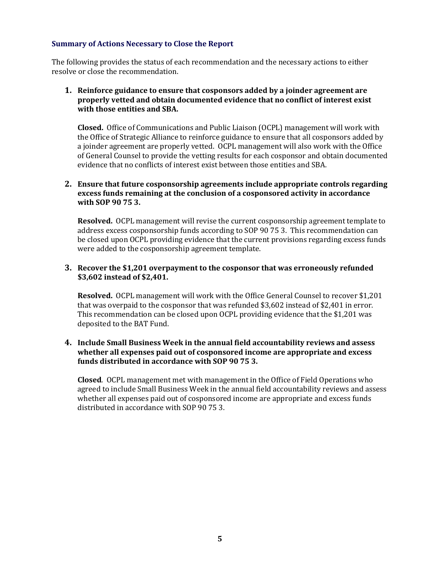#### <span id="page-8-0"></span>**Summary of Actions Necessary to Close the Report**

The following provides the status of each recommendation and the necessary actions to either resolve or close the recommendation.

#### **1. Reinforce guidance to ensure that cosponsors added by a joinder agreement are properly vetted and obtain documented evidence that no conflict of interest exist with those entities and SBA.**

**Closed.** Office of Communications and Public Liaison (OCPL) management will work with the Office of Strategic Alliance to reinforce guidance to ensure that all cosponsors added by a joinder agreement are properly vetted. OCPL management will also work with the Office of General Counsel to provide the vetting results for each cosponsor and obtain documented evidence that no conflicts of interest exist between those entities and SBA.

#### **2. Ensure that future cosponsorship agreements include appropriate controls regarding excess funds remaining at the conclusion of a cosponsored activity in accordance with SOP 90 75 3.**

**Resolved.** OCPL management will revise the current cosponsorship agreement template to address excess cosponsorship funds according to SOP 90 75 3. This recommendation can be closed upon OCPL providing evidence that the current provisions regarding excess funds were added to the cosponsorship agreement template.

#### **3. Recover the \$1,201 overpayment to the cosponsor that was erroneously refunded \$3,602 instead of \$2,401.**

**Resolved.** OCPL management will work with the Office General Counsel to recover \$1,201 that was overpaid to the cosponsor that was refunded \$3,602 instead of \$2,401 in error. This recommendation can be closed upon OCPL providing evidence that the \$1,201 was deposited to the BAT Fund.

#### **4. Include Small Business Week in the annual field accountability reviews and assess whether all expenses paid out of cosponsored income are appropriate and excess funds distributed in accordance with SOP 90 75 3.**

**Closed**. OCPL management met with management in the Office of Field Operations who agreed to include Small Business Week in the annual field accountability reviews and assess whether all expenses paid out of cosponsored income are appropriate and excess funds distributed in accordance with SOP 90 75 3.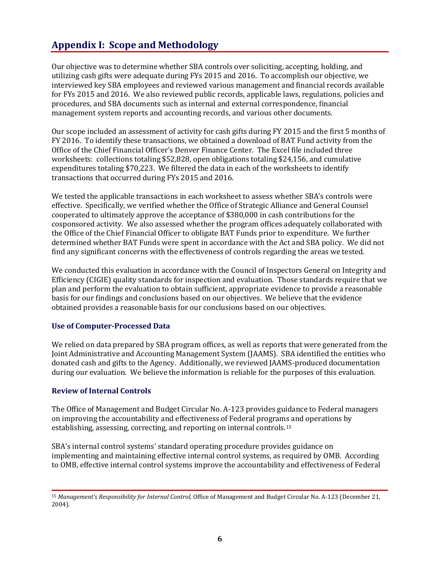### <span id="page-9-0"></span>**Appendix I: Scope and Methodology**

Our objective was to determine whether SBA controls over soliciting, accepting, holding, and utilizing cash gifts were adequate during FYs 2015 and 2016. To accomplish our objective, we interviewed key SBA employees and reviewed various management and financial records available for FYs 2015 and 2016. We also reviewed public records, applicable laws, regulations, policies and procedures, and SBA documents such as internal and external correspondence, financial management system reports and accounting records, and various other documents.

Our scope included an assessment of activity for cash gifts during FY 2015 and the first 5 months of FY 2016. To identify these transactions, we obtained a download of BAT Fund activity from the Office of the Chief Financial Officer's Denver Finance Center. The Excel file included three worksheets: collections totaling \$52,828, open obligations totaling \$24,156, and cumulative expenditures totaling \$70,223. We filtered the data in each of the worksheets to identify transactions that occurred during FYs 2015 and 2016.

We tested the applicable transactions in each worksheet to assess whether SBA's controls were effective. Specifically, we verified whether the Office of Strategic Alliance and General Counsel cooperated to ultimately approve the acceptance of \$380,000 in cash contributions for the cosponsored activity. We also assessed whether the program offices adequately collaborated with the Office of the Chief Financial Officer to obligate BAT Funds prior to expenditure. We further determined whether BAT Funds were spent in accordance with the Act and SBA policy. We did not find any significant concerns with the effectiveness of controls regarding the areas we tested.

We conducted this evaluation in accordance with the Council of Inspectors General on Integrity and Efficiency (CIGIE) quality standards for inspection and evaluation. Those standards require that we plan and perform the evaluation to obtain sufficient, appropriate evidence to provide a reasonable basis for our findings and conclusions based on our objectives. We believe that the evidence obtained provides a reasonable basis for our conclusions based on our objectives.

#### <span id="page-9-1"></span>**Use of Computer-Processed Data**

We relied on data prepared by SBA program offices, as well as reports that were generated from the Joint Administrative and Accounting Management System (JAAMS). SBA identified the entities who donated cash and gifts to the Agency. Additionally, we reviewed JAAMS-produced documentation during our evaluation. We believe the information is reliable for the purposes of this evaluation.

#### <span id="page-9-2"></span>**Review of Internal Controls**

The Office of Management and Budget Circular No. A-123 provides guidance to Federal managers on improving the accountability and effectiveness of Federal programs and operations by establishing, assessing, correcting, and reporting on internal controls.[15](#page-9-3) 

SBA's internal control systems' standard operating procedure provides guidance on implementing and maintaining effective internal control systems, as required by OMB. According to OMB, effective internal control systems improve the accountability and effectiveness of Federal

<span id="page-9-3"></span><sup>15</sup> *Management's Responsibility for Internal Control,* Office of Management and Budget Circular No. A-123 (December 21, 2004).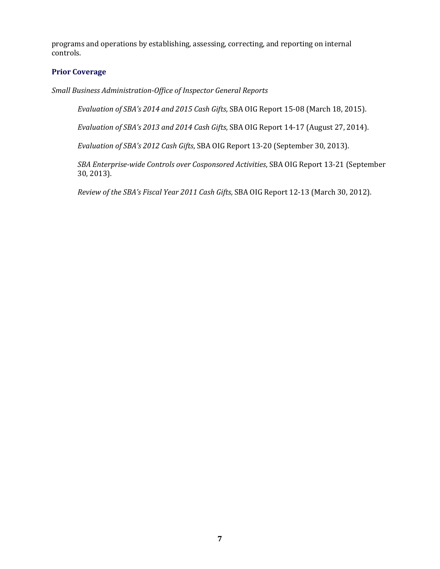programs and operations by establishing, assessing, correcting, and reporting on internal controls.

#### <span id="page-10-0"></span>**Prior Coverage**

*Small Business Administration-Office of Inspector General Reports*

*Evaluation of SBA's 2014 and 2015 Cash Gifts*, SBA OIG Report 15-08 (March 18, 2015).

*Evaluation of SBA's 2013 and 2014 Cash Gifts*, SBA OIG Report 14-17 (August 27, 2014).

*Evaluation of SBA's 2012 Cash Gifts*, SBA OIG Report 13-20 (September 30, 2013).

*SBA Enterprise-wide Controls over Cosponsored Activities*, SBA OIG Report 13-21 (September 30, 2013).

*Review of the SBA's Fiscal Year 2011 Cash Gifts*, SBA OIG Report 12-13 (March 30, 2012).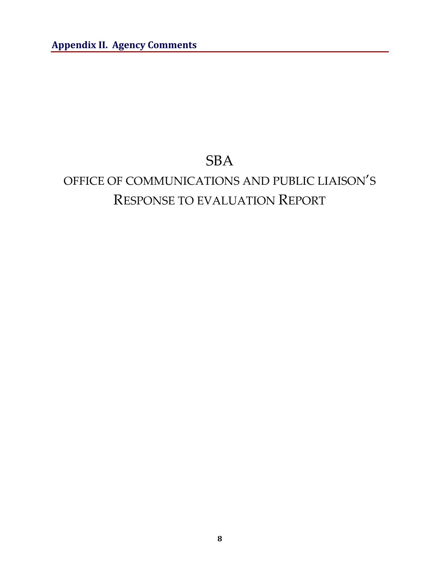## SBA

# <span id="page-11-0"></span>OFFICE OF COMMUNICATIONS AND PUBLIC LIAISON'S RESPONSE TO EVALUATION REPORT